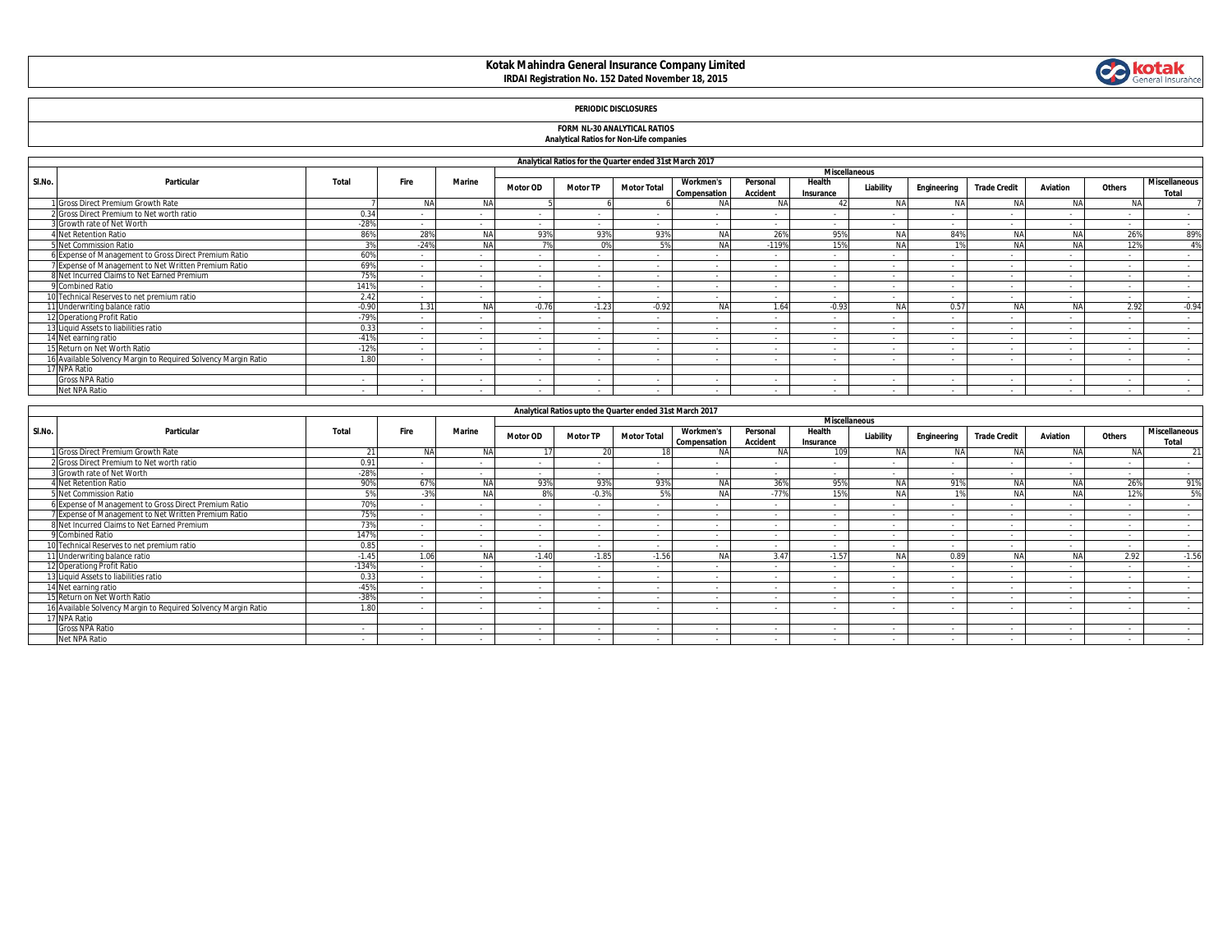### **Kotak Mahindra General Insurance Company Limited IRDAI Registration No. 152 Dated November 18, 2015**



# **FORM NL-30 ANALYTICAL RATIOS Analytical Ratios for Non-Life companies**

|  |  |  | Analytical Ratios for Non-Life companies |  |
|--|--|--|------------------------------------------|--|
|  |  |  |                                          |  |

|        | Analytical Ratios for the Quarter ended 31st March 2017        |         |           |               |                 |                 |                                                          |                                         |                      |                      |                          |             |                     |                 |           |                               |
|--------|----------------------------------------------------------------|---------|-----------|---------------|-----------------|-----------------|----------------------------------------------------------|-----------------------------------------|----------------------|----------------------|--------------------------|-------------|---------------------|-----------------|-----------|-------------------------------|
|        |                                                                |         |           |               |                 |                 |                                                          |                                         |                      | <b>Miscellaneous</b> |                          |             |                     |                 |           |                               |
| SI.No. | Particular                                                     | Total   | Fire      | <b>Marine</b> | <b>Motor OD</b> | <b>Motor TP</b> | <b>Motor Total</b>                                       | <b>Workmen's</b><br><b>Compensation</b> | Personal<br>Accident | Health<br>Insurance  | Liability                | Engineering | <b>Trade Credit</b> | <b>Aviation</b> | Others    | <b>Miscellaneous</b><br>Total |
|        | 1 Gross Direct Premium Growth Rate                             |         | <b>NA</b> | NA            |                 |                 |                                                          | <b>NA</b>                               | <b>NA</b>            |                      | <b>NA</b>                | <b>NA</b>   |                     | <b>NA</b>       | <b>NA</b> |                               |
|        | 2 Gross Direct Premium to Net worth ratio                      | 0.34    | $\sim$    |               | $\sim$          |                 |                                                          |                                         |                      | $\sim$               | $\sim$                   |             | - 14                | $\sim$          | $\sim$    | $\sim$                        |
|        | 3 Growth rate of Net Worth                                     | $-28%$  | $\sim$    | $\sim$        | $\sim$          | $\sim$          | $\sim$                                                   | $\sim$                                  | $\sim$               | $\sim$               | $\sim$                   | $\sim$      | $\sim$              | $\sim$          | $\sim$    | $\sim$                        |
|        | 4 Net Retention Ratio                                          | 86%     | 28%       | <b>NA</b>     | 93%             | 93%             | 93%                                                      | <b>NA</b>                               | 26%                  | 95%                  | NΑ                       | 84%         | <b>NA</b>           | <b>NA</b>       | 26%       | 89%                           |
|        | 5 Net Commission Ratio                                         |         | $-24%$    | <b>NA</b>     |                 | $\Omega$ %      | 5%                                                       | <b>NA</b>                               | $-119%$              | 15%                  | NΑ                       | 10/         | <b>AIA</b>          | <b>NA</b>       | 12%       | 4%                            |
|        | 6 Expense of Management to Gross Direct Premium Ratio          | 60%     | $\sim$    | $\sim$        | $\sim$          | $\sim$          |                                                          |                                         | $\sim$               | $\sim$               | $\sim$                   | $\sim$      | $\sim$              | $\sim$          | $\sim$    | $\sim$                        |
|        | 7 Expense of Management to Net Written Premium Ratio           | 69%     | $\sim$    | $\sim$        | $\sim$          | $\sim$          | $\sim$                                                   |                                         | $\sim$               | $\sim$               | $\sim$                   | $\sim$      | $\sim$              | $\sim$          | $\sim$    | $\sim$                        |
|        | 8 Net Incurred Claims to Net Earned Premium                    | 75%     |           |               |                 | $\sim$          |                                                          |                                         |                      | $\sim$               |                          |             | $\sim$              | $\sim$          | $\sim$    | $\sim$                        |
|        | 9 Combined Ratio                                               | 141%    |           |               |                 | $\sim$          |                                                          |                                         |                      | $\sim$               |                          |             |                     |                 | $\sim$    | $\sim$                        |
|        | 10 Technical Reserves to net premium ratio                     | 2.42    | $\sim$    | $\sim$        |                 | $\sim$          | $\sim$                                                   |                                         |                      | $\sim$               | $\sim$                   | $\sim$      | $\sim$              | $\sim$          | $\sim$    | $\sim$                        |
|        | 11 Underwriting balance ratio                                  | $-0.90$ | 1.31      |               | $-0.76$         | $-1.23$         | $-0.92$                                                  | <b>NA</b>                               | 1.64                 | $-0.93$              | <b>NA</b>                | 0.57        | <b>AIA</b>          | <b>NA</b>       | 2.92      | $-0.94$                       |
|        | 12 Operationg Profit Ratio                                     | $-79%$  |           |               |                 | $\sim$          |                                                          |                                         |                      | $\sim$               |                          |             |                     |                 |           | $\sim$                        |
|        | 13 Liquid Assets to liabilities ratio                          | 0.33    | $\sim$    | $\sim$        |                 | $\sim$          | $\sim$                                                   |                                         |                      | $\sim$               | $\sim$                   | $\sim$      | - 14                | $\sim$          | $\sim$    | $\sim$                        |
|        | 14 Net earning ratio                                           | $-41%$  | $\sim$    | $\sim$        | $\sim$          | $\sim$          |                                                          |                                         | $\sim$               | $\sim$               | $\overline{\phantom{a}}$ | $\sim$      | $\sim$              | $\sim$          | $\sim$    | $\sim$                        |
|        | 15 Return on Net Worth Ratio                                   | $-12%$  |           | $\sim$        | $\sim$          | $\sim$          | $\sim$                                                   |                                         |                      | $\sim$               | $\sim$                   |             | $\sim$              | $\sim$          | $\sim$    | $\sim$                        |
|        | 16 Available Solvency Margin to Required Solvency Margin Ratio | 1.80    |           |               | $\sim$          | $\sim$          | $\sim$                                                   |                                         |                      | $\sim$               |                          |             | $\sim$              | $\sim$          | $\sim$    | $\sim$                        |
|        | 17 NPA Ratio                                                   |         |           |               |                 |                 |                                                          |                                         |                      |                      |                          |             |                     |                 |           |                               |
|        | <b>Gross NPA Ratio</b>                                         | $\sim$  | $\sim$    | $\sim$        | $\sim$          | $\sim$          | $\sim$                                                   |                                         |                      | $\sim$               | $\overline{\phantom{a}}$ |             | $\sim$              | $\sim$          | $\sim$    | $\sim$                        |
|        | Net NPA Ratio                                                  | $\sim$  |           | $\sim$        | $\sim$          | $\sim$          |                                                          |                                         |                      | $\sim$               | $\sim$                   |             |                     | $\sim$          | $\sim$    | $\sim$                        |
|        |                                                                |         |           |               |                 |                 |                                                          |                                         |                      |                      |                          |             |                     |                 |           |                               |
|        |                                                                |         |           |               |                 |                 | Analytical Ratios upto the Quarter ended 31st March 2017 |                                         |                      |                      |                          |             |                     |                 |           |                               |

|        |                                                                |                |                 |            | This prose nanos apro the against chase once maren Evil<br><b>Miscellaneous</b> |                 |                    |                                         |                             |                     |            |             |                     |            |        |                               |
|--------|----------------------------------------------------------------|----------------|-----------------|------------|---------------------------------------------------------------------------------|-----------------|--------------------|-----------------------------------------|-----------------------------|---------------------|------------|-------------|---------------------|------------|--------|-------------------------------|
| SI.No. | Particular                                                     | Total          | Fire            | Marine     | <b>Motor OD</b>                                                                 | <b>Motor TP</b> | <b>Motor Total</b> | <b>Workmen's</b><br><b>Compensation</b> | Personal<br><b>Accident</b> | Health<br>Insurance | Liability  | Engineering | <b>Trade Credit</b> | Aviation   | Others | <b>Miscellaneous</b><br>Total |
|        | 1 Gross Direct Premium Growth Rate                             |                | <b>AIA</b>      | <b>NIA</b> |                                                                                 |                 |                    | <b>AIA</b>                              | <b>ALA</b>                  | 100                 | <b>NIA</b> | <b>NA</b>   | <b>NA</b>           |            | ALA    | 21                            |
|        | 2 Gross Direct Premium to Net worth ratio                      | 0.91           |                 |            | $\sim$                                                                          | $\sim$          |                    |                                         |                             |                     |            |             |                     | $\sim$     |        | $\sim$                        |
|        | 3 Growth rate of Net Worth                                     | $-28%$         |                 | $\sim$     | $\sim$                                                                          | $\sim$          | $\sim$             |                                         |                             | $\sim$              |            |             | $\sim$              | $\sim$     |        | $\sim$                        |
|        | Net Retention Ratio                                            | 0 <sup>0</sup> | 67%             | <b>AIA</b> | 93%                                                                             | 93%             | 93%                | NA                                      | 36%                         | 95%                 | <b>NA</b>  | 91%         | <b>NIA</b>          | <b>BLI</b> | 26%    | 91%                           |
|        | 5 Net Commission Ratio                                         |                | 20 <sub>0</sub> | ALA        | O <sub>0</sub>                                                                  | $-0.3%$         | EQ                 | <b>NIA</b>                              | 770<br>-11                  | 15%                 | <b>NIA</b> |             | <b>NA</b>           |            | 12%    | 5%                            |
|        | 6 Expense of Management to Gross Direct Premium Ratio          | 70%            |                 |            | $\sim$                                                                          | $\sim$          |                    |                                         |                             |                     |            |             |                     | $\sim$     |        | $\sim$                        |
|        | 7 Expense of Management to Net Written Premium Ratio           | 759            |                 |            |                                                                                 | $\sim$          |                    |                                         |                             |                     |            |             |                     | $\sim$     |        |                               |
|        | 8 Net Incurred Claims to Net Earned Premium                    | 73%            |                 |            |                                                                                 |                 |                    |                                         |                             |                     |            |             |                     | $\sim$     |        |                               |
|        | 9 Combined Ratio                                               | 147%           |                 |            |                                                                                 | $\sim$          |                    |                                         |                             |                     |            |             |                     | $\sim$     |        |                               |
|        | 10 Technical Reserves to net premium ratio                     | 0.85           |                 |            |                                                                                 | $\sim$          |                    |                                         |                             |                     |            |             |                     | $\sim$     |        |                               |
|        | 11 Underwriting balance ratio                                  | $-1.45$        | 1.06            | <b>AIA</b> | $-1.40$                                                                         | $-1.85$         | $-1.56$            | <b>AIA</b>                              | 3.47                        | $-1.57$             | <b>NA</b>  | 0.89        | <b>NA</b>           | <b>MI</b>  | 2.92   | $-1.56$                       |
|        | 12 Operationg Profit Ratio                                     | $-134%$        |                 |            |                                                                                 |                 |                    |                                         |                             |                     |            |             |                     |            |        |                               |
|        | 13 Liquid Assets to liabilities ratio                          | 0.33           |                 |            | $\sim$                                                                          | $\sim$          | $\sim$             |                                         |                             |                     |            |             |                     | $\sim$     |        |                               |
|        | 14 Net earning ratio                                           | $-459$         |                 |            | $\sim$                                                                          | $\sim$          | $\sim$             |                                         | $\sim$                      |                     |            |             | $\sim$              | $\sim$     | $\sim$ | $\sim$                        |
|        | 15 Return on Net Worth Ratio                                   | $-38%$         |                 | $\sim$     | $\sim$                                                                          | $\sim$          |                    |                                         |                             |                     |            |             |                     | $\sim$     |        | $\sim$                        |
|        | 16 Available Solvency Margin to Required Solvency Margin Ratio | 1.00           |                 |            |                                                                                 |                 |                    |                                         |                             |                     |            |             |                     | $\sim$     |        |                               |
|        | 17 NPA Ratio                                                   |                |                 |            |                                                                                 |                 |                    |                                         |                             |                     |            |             |                     |            |        |                               |
|        | Gross NPA Ratio                                                |                |                 |            |                                                                                 | $\sim$          |                    |                                         |                             |                     |            |             |                     | $\sim$     |        | $\sim$                        |
|        | Net NPA Ratio                                                  |                |                 |            |                                                                                 |                 |                    |                                         |                             |                     |            |             |                     |            |        |                               |